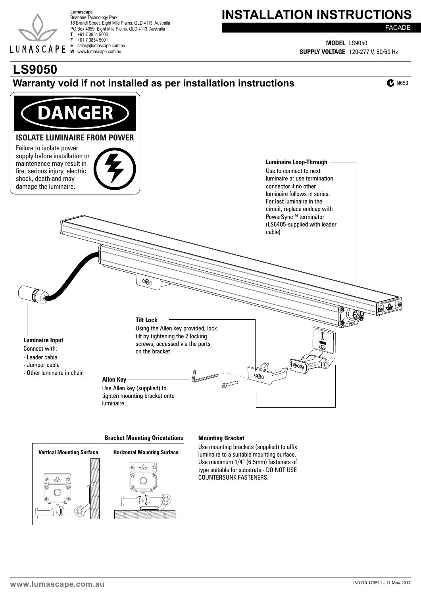

Brisbane Technology Park 18 Brandl Street, Eight Mile Plains, QLD 4113, Australia PO Box 4059, Eight Mile Plains, QLD 4113, Australia **T** +61 7 3854 5000 **F** +61 7 3854 5001 **E** sales@lumascape.com.au **W** www.lumascape.com.au

## Lumascape<br>Brisbane Technology Park **Respectively Park**

FACADE

**MODEL** LS9050 **SUPPLY VOLTAGE** 120-277 V, 50/60 Hz

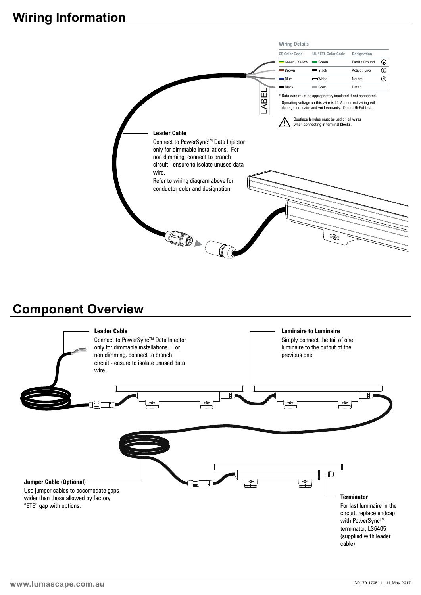

### **Component Overview**